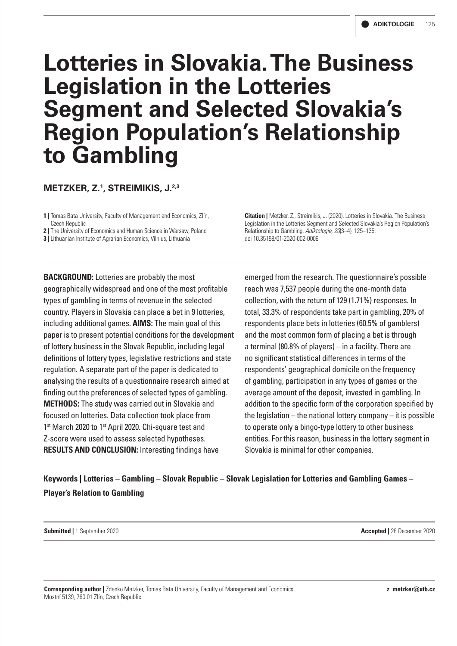# **Lotteries in Slovakia. The Business Legislation in the Lotteries Segment and Selected Slovakia's Region Population's Relationship to Gambling**

## **METZKER, Z.1 , STREIMIKIS, J.2,3**

**1 |** Tomas Bata University, Faculty of Management and Economics, Zlín, Czech Republic

**2 |** The University of Economics and Human Science in Warsaw, Poland

**Citation |** Metzker, Z., Streimikis, J. (2020). Lotteries in Slovakia. The Business Legislation in the Lotteries Segment and Selected Slovakia's Region Population's Relationship to Gambling. *Adiktologie, 20*(3–4), 125–135; doi 10.35198/01-2020-002-0006

**BACKGROUND:** Lotteries are probably the most geographically widespread and one of the most profitable types of gambling in terms of revenue in the selected country. Players in Slovakia can place a bet in 9 lotteries, including additional games. **AIMS:** The main goal of this paper is to present potential conditions for the development of lottery business in the Slovak Republic, including legal definitions of lottery types, legislative restrictions and state regulation. A separate part of the paper is dedicated to analysing the results of a questionnaire research aimed at finding out the preferences of selected types of gambling. **METHODS:** The study was carried out in Slovakia and focused on lotteries. Data collection took place from 1<sup>st</sup> March 2020 to 1<sup>st</sup> April 2020. Chi-square test and Z-score were used to assess selected hypotheses. **RESULTS AND CONCLUSION:** Interesting findings have

emerged from the research. The questionnaire's possible reach was 7,537 people during the one-month data collection, with the return of 129 (1.71%) responses. In total, 33.3% of respondents take part in gambling, 20% of respondents place bets in lotteries (60.5% of gamblers) and the most common form of placing a bet is through a terminal (80.8% of players) – in a facility. There are no significant statistical differences in terms of the respondents' geographical domicile on the frequency of gambling, participation in any types of games or the average amount of the deposit, invested in gambling. In addition to the specific form of the corporation specified by the legislation – the national lottery company – it is possible to operate only a bingo-type lottery to other business entities. For this reason, business in the lottery segment in Slovakia is minimal for other companies.

**Keywords | Lotteries – Gambling – Slovak Republic – Slovak Legislation for Lotteries and Gambling Games – Player's Relation to Gambling**

**Submitted |** 1 September 2020 **Accepted |** 28 December 2020

**Corresponding author |** Zdenko Metzker, Tomas Bata University, Faculty of Management and Economics, Mostní 5139, 760 01 Zlín, Czech Republic

**z\_metzker@utb.cz**

**<sup>3 |</sup>** Lithuanian Institute of Agrarian Economics, Vilnius, Lithuania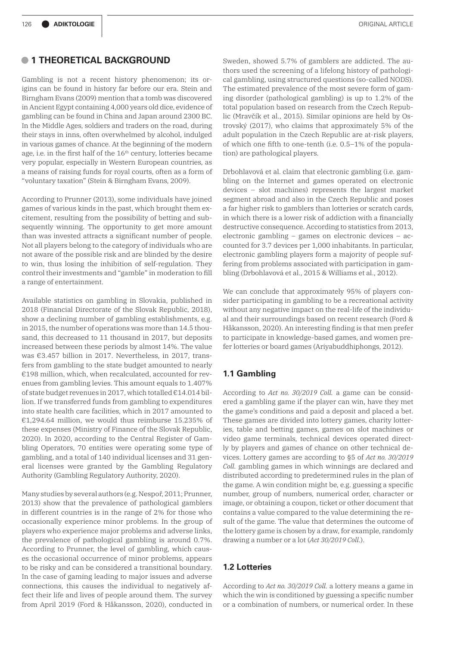#### **• 1 THEORETICAL BACKGROUND**

Gambling is not a recent history phenomenon; its origins can be found in history far before our era. Stein and Birngham Evans (2009) mention that a tomb was discovered in Ancient Egypt containing 4,000 years old dice, evidence of gambling can be found in China and Japan around 2300 BC. In the Middle Ages, soldiers and traders on the road, during their stays in inns, often overwhelmed by alcohol, indulged in various games of chance. At the beginning of the modern age, i.e. in the first half of the 16<sup>th</sup> century, lotteries became very popular, especially in Western European countries, as a means of raising funds for royal courts, often as a form of "voluntary taxation" (Stein & Birngham Evans, 2009).

According to Prunner (2013), some individuals have joined games of various kinds in the past, which brought them excitement, resulting from the possibility of betting and subsequently winning. The opportunity to get more amount than was invested attracts a significant number of people. Not all players belong to the category of individuals who are not aware of the possible risk and are blinded by the desire to win, thus losing the inhibition of self-regulation. They control their investments and "gamble" in moderation to fill a range of entertainment.

Available statistics on gambling in Slovakia, published in 2018 (Financial Directorate of the Slovak Republic, 2018), show a declining number of gambling establishments, e.g. in 2015, the number of operations was more than 14.5 thousand, this decreased to 11 thousand in 2017, but deposits increased between these periods by almost 14%. The value was €3.457 billion in 2017. Nevertheless, in 2017, transfers from gambling to the state budget amounted to nearly €198 million, which, when recalculated, accounted for revenues from gambling levies. This amount equals to 1.407% of state budget revenues in 2017, which totalled €14.014 billion. If we transferred funds from gambling to expenditures into state health care facilities, which in 2017 amounted to €1,294.64 million, we would thus reimburse 15.235% of these expenses (Ministry of Finance of the Slovak Republic, 2020). In 2020, according to the Central Register of Gambling Operators, 70 entities were operating some type of gambling, and a total of 140 individual licenses and 31 general licenses were granted by the Gambling Regulatory Authority (Gambling Regulatory Authority, 2020).

Many studies by several authors (e.g. Nespoř, 2011; Prunner, 2013) show that the prevalence of pathological gamblers in different countries is in the range of 2% for those who occasionally experience minor problems. In the group of players who experience major problems and adverse links, the prevalence of pathological gambling is around 0.7%. According to Prunner, the level of gambling, which causes the occasional occurrence of minor problems, appears to be risky and can be considered a transitional boundary. In the case of gaming leading to major issues and adverse connections, this causes the individual to negatively affect their life and lives of people around them. The survey from April 2019 (Ford & Håkansson, 2020), conducted in

Sweden, showed 5.7% of gamblers are addicted. The authors used the screening of a lifelong history of pathological gambling, using structured questions (so-called NODS). The estimated prevalence of the most severe form of gaming disorder (pathological gambling) is up to 1.2% of the total population based on research from the Czech Republic (Mravčík et al., 2015). Similar opinions are held by Ostrovský (2017), who claims that approximately 5% of the adult population in the Czech Republic are at-risk players, of which one fifth to one-tenth (i.e. 0.5–1% of the population) are pathological players.

Drbohlavová et al. claim that electronic gambling (i.e. gambling on the Internet and games operated on electronic devices – slot machines) represents the largest market segment abroad and also in the Czech Republic and poses a far higher risk to gamblers than lotteries or scratch cards, in which there is a lower risk of addiction with a financially destructive consequence. According to statistics from 2013, electronic gambling – games on electronic devices – accounted for 3.7 devices per 1,000 inhabitants. In particular, electronic gambling players form a majority of people suffering from problems associated with participation in gambling (Drbohlavová et al., 2015 & Williams et al., 2012).

We can conclude that approximately 95% of players consider participating in gambling to be a recreational activity without any negative impact on the real-life of the individual and their surroundings based on recent research (Ford & Håkansson, 2020). An interesting finding is that men prefer to participate in knowledge-based games, and women prefer lotteries or board games (Ariyabuddhiphongs, 2012).

#### **1.1 Gambling**

According to *Act no. 30/2019 Coll.* a game can be considered a gambling game if the player can win, have they met the game's conditions and paid a deposit and placed a bet. These games are divided into lottery games, charity lotteries, table and betting games, games on slot machines or video game terminals, technical devices operated directly by players and games of chance on other technical devices. Lottery games are according to §5 of *Act no. 30/2019 Coll.* gambling games in which winnings are declared and distributed according to predetermined rules in the plan of the game. A win condition might be, e.g. guessing a specific number, group of numbers, numerical order, character or image, or obtaining a coupon, ticket or other document that contains a value compared to the value determining the result of the game. The value that determines the outcome of the lottery game is chosen by a draw, for example, randomly drawing a number or a lot (*Act 30/2019 Coll.*).

#### **1.2 Lotteries**

According to *Act no. 30/2019 Coll.* a lottery means a game in which the win is conditioned by guessing a specific number or a combination of numbers, or numerical order. In these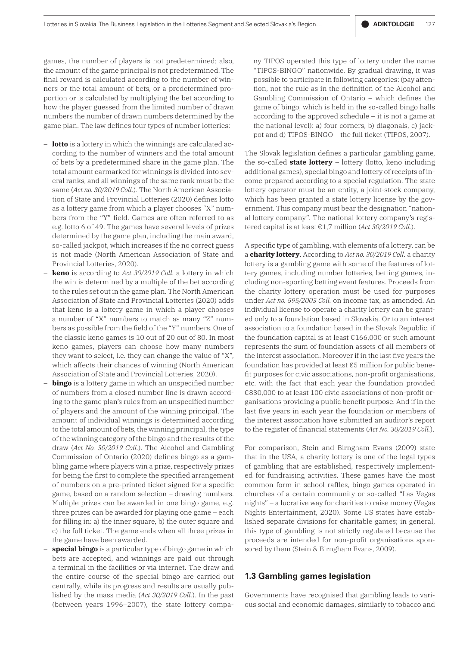games, the number of players is not predetermined; also, the amount of the game principal is not predetermined. The final reward is calculated according to the number of winners or the total amount of bets, or a predetermined proportion or is calculated by multiplying the bet according to how the player guessed from the limited number of drawn numbers the number of drawn numbers determined by the game plan. The law defines four types of number lotteries:

- **lotto** is a lottery in which the winnings are calculated according to the number of winners and the total amount of bets by a predetermined share in the game plan. The total amount earmarked for winnings is divided into several ranks, and all winnings of the same rank must be the same (*Act no. 30/2019 Coll.*). The North American Association of State and Provincial Lotteries (2020) defines lotto as a lottery game from which a player chooses "X" numbers from the "Y" field. Games are often referred to as e.g. lotto 6 of 49. The games have several levels of prizes determined by the game plan, including the main award, so-called jackpot, which increases if the no correct guess is not made (North American Association of State and Provincial Lotteries, 2020).
- **keno** is according to *Act 30/2019 Coll.* a lottery in which the win is determined by a multiple of the bet according to the rules set out in the game plan. The North American Association of State and Provincial Lotteries (2020) adds that keno is a lottery game in which a player chooses a number of "X" numbers to match as many "Z" numbers as possible from the field of the "Y" numbers. One of the classic keno games is 10 out of 20 out of 80. In most keno games, players can choose how many numbers they want to select, i.e. they can change the value of "X", which affects their chances of winning (North American Association of State and Provincial Lotteries, 2020).
- **bingo** is a lottery game in which an unspecified number of numbers from a closed number line is drawn according to the game plan's rules from an unspecified number of players and the amount of the winning principal. The amount of individual winnings is determined according to the total amount of bets, the winning principal, the type of the winning category of the bingo and the results of the draw (*Act No. 30/2019 Coll.*). The Alcohol and Gambling Commission of Ontario (2020) defines bingo as a gambling game where players win a prize, respectively prizes for being the first to complete the specified arrangement of numbers on a pre-printed ticket signed for a specific game, based on a random selection – drawing numbers. Multiple prizes can be awarded in one bingo game, e.g. three prizes can be awarded for playing one game – each for filling in: a) the inner square, b) the outer square and c) the full ticket. The game ends when all three prizes in the game have been awarded.
- **special bingo** is a particular type of bingo game in which bets are accepted, and winnings are paid out through a terminal in the facilities or via internet. The draw and the entire course of the special bingo are carried out centrally, while its progress and results are usually published by the mass media (*Act 30/2019 Coll.*). In the past (between years 1996–2007), the state lottery compa-

ny TIPOS operated this type of lottery under the name "TIPOS-BINGO" nationwide. By gradual drawing, it was possible to participate in following categories: (pay attention, not the rule as in the definition of the Alcohol and Gambling Commission of Ontario – which defines the game of bingo, which is held in the so-called bingo halls according to the approved schedule – it is not a game at the national level): a) four corners, b) diagonals, c) jackpot and d) TIPOS-BINGO – the full ticket (TIPOS, 2007).

The Slovak legislation defines a particular gambling game, the so-called **state lottery** – lottery (lotto, keno including additional games), special bingo and lottery of receipts of income prepared according to a special regulation. The state lottery operator must be an entity, a joint-stock company, which has been granted a state lottery license by the government. This company must bear the designation "national lottery company". The national lottery company's registered capital is at least €1,7 million (*Act 30/2019 Coll.*).

A specific type of gambling, with elements of a lottery, can be a **charity lottery**. According to *Act no. 30/2019 Coll.* a charity lottery is a gambling game with some of the features of lottery games, including number lotteries, betting games, including non-sporting betting event features. Proceeds from the charity lottery operation must be used for purposes under *Act no. 595/2003 Coll.* on income tax, as amended. An individual license to operate a charity lottery can be granted only to a foundation based in Slovakia. Or to an interest association to a foundation based in the Slovak Republic, if the foundation capital is at least €166,000 or such amount represents the sum of foundation assets of all members of the interest association. Moreover if in the last five years the foundation has provided at least €5 million for public benefit purposes for civic associations, non-profit organisations, etc. with the fact that each year the foundation provided €830,000 to at least 100 civic associations of non-profit organisations providing a public benefit purpose. And if in the last five years in each year the foundation or members of the interest association have submitted an auditor's report to the register of financial statements (*Act No. 30/2019 Coll.*).

For comparison, Stein and Birngham Evans (2009) state that in the USA, a charity lottery is one of the legal types of gambling that are established, respectively implemented for fundraising activities. These games have the most common form in school raffles, bingo games operated in churches of a certain community or so-called "Las Vegas nights" – a lucrative way for charities to raise money (Vegas Nights Entertainment, 2020). Some US states have established separate divisions for charitable games; in general, this type of gambling is not strictly regulated because the proceeds are intended for non-profit organisations sponsored by them (Stein & Birngham Evans, 2009).

#### **1.3 Gambling games legislation**

Governments have recognised that gambling leads to various social and economic damages, similarly to tobacco and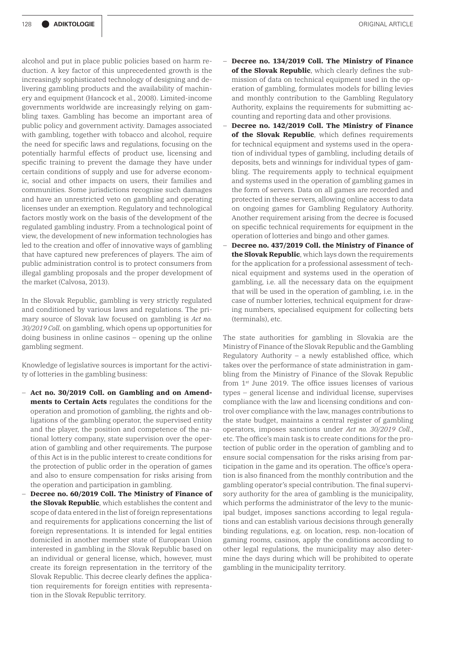alcohol and put in place public policies based on harm reduction. A key factor of this unprecedented growth is the increasingly sophisticated technology of designing and delivering gambling products and the availability of machinery and equipment (Hancock et al., 2008). Limited-income governments worldwide are increasingly relying on gambling taxes. Gambling has become an important area of public policy and government activity. Damages associated with gambling, together with tobacco and alcohol, require the need for specific laws and regulations, focusing on the potentially harmful effects of product use, licensing and specific training to prevent the damage they have under certain conditions of supply and use for adverse economic, social and other impacts on users, their families and communities. Some jurisdictions recognise such damages and have an unrestricted veto on gambling and operating licenses under an exemption. Regulatory and technological factors mostly work on the basis of the development of the regulated gambling industry. From a technological point of view, the development of new information technologies has led to the creation and offer of innovative ways of gambling that have captured new preferences of players. The aim of public administration control is to protect consumers from illegal gambling proposals and the proper development of the market (Calvosa, 2013).

In the Slovak Republic, gambling is very strictly regulated and conditioned by various laws and regulations. The primary source of Slovak law focused on gambling is *Act no. 30/2019 Coll.* on gambling, which opens up opportunities for doing business in online casinos – opening up the online gambling segment.

Knowledge of legislative sources is important for the activity of lotteries in the gambling business:

- **Act no. 30/2019 Coll. on Gambling and on Amendments to Certain Acts** regulates the conditions for the operation and promotion of gambling, the rights and obligations of the gambling operator, the supervised entity and the player, the position and competence of the national lottery company, state supervision over the operation of gambling and other requirements. The purpose of this Act is in the public interest to create conditions for the protection of public order in the operation of games and also to ensure compensation for risks arising from the operation and participation in gambling.
- **Decree no. 60/2019 Coll. The Ministry of Finance of the Slovak Republic**, which establishes the content and scope of data entered in the list of foreign representations and requirements for applications concerning the list of foreign representations. It is intended for legal entities domiciled in another member state of European Union interested in gambling in the Slovak Republic based on an individual or general license, which, however, must create its foreign representation in the territory of the Slovak Republic. This decree clearly defines the application requirements for foreign entities with representation in the Slovak Republic territory.
- **Decree no. 134/2019 Coll. The Ministry of Finance of the Slovak Republic**, which clearly defines the submission of data on technical equipment used in the operation of gambling, formulates models for billing levies and monthly contribution to the Gambling Regulatory Authority, explains the requirements for submitting accounting and reporting data and other provisions.
- **Decree no. 142/2019 Coll. The Ministry of Finance of the Slovak Republic**, which defines requirements for technical equipment and systems used in the operation of individual types of gambling, including details of deposits, bets and winnings for individual types of gambling. The requirements apply to technical equipment and systems used in the operation of gambling games in the form of servers. Data on all games are recorded and protected in these servers, allowing online access to data on ongoing games for Gambling Regulatory Authority. Another requirement arising from the decree is focused on specific technical requirements for equipment in the operation of lotteries and bingo and other games.
- **Decree no. 437/2019 Coll. the Ministry of Finance of the Slovak Republic**, which lays down the requirements for the application for a professional assessment of technical equipment and systems used in the operation of gambling, i.e. all the necessary data on the equipment that will be used in the operation of gambling, i.e. in the case of number lotteries, technical equipment for drawing numbers, specialised equipment for collecting bets (terminals), etc.

The state authorities for gambling in Slovakia are the Ministry of Finance of the Slovak Republic and the Gambling Regulatory Authority – a newly established office, which takes over the performance of state administration in gambling from the Ministry of Finance of the Slovak Republic from 1st June 2019. The office issues licenses of various types – general license and individual license, supervises compliance with the law and licensing conditions and control over compliance with the law, manages contributions to the state budget, maintains a central register of gambling operators, imposes sanctions under *Act no. 30/2019 Coll.*, etc. The office's main task is to create conditions for the protection of public order in the operation of gambling and to ensure social compensation for the risks arising from participation in the game and its operation. The office's operation is also financed from the monthly contribution and the gambling operator's special contribution. The final supervisory authority for the area of gambling is the municipality, which performs the administrator of the levy to the municipal budget, imposes sanctions according to legal regulations and can establish various decisions through generally binding regulations, e.g. on location, resp. non-location of gaming rooms, casinos, apply the conditions according to other legal regulations, the municipality may also determine the days during which will be prohibited to operate gambling in the municipality territory.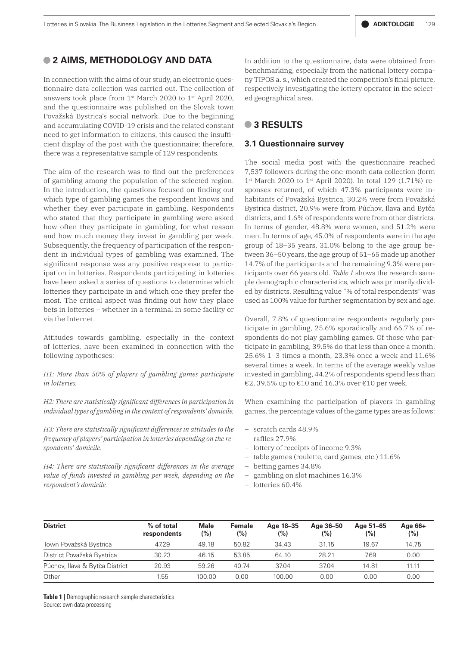## **• 2 AIMS, METHODOLOGY AND DATA**

In connection with the aims of our study, an electronic questionnaire data collection was carried out. The collection of answers took place from 1st March 2020 to 1st April 2020, and the questionnaire was published on the Slovak town Považská Bystrica's social network. Due to the beginning and accumulating COVID-19 crisis and the related constant need to get information to citizens, this caused the insufficient display of the post with the questionnaire; therefore, there was a representative sample of 129 respondents.

The aim of the research was to find out the preferences of gambling among the population of the selected region. In the introduction, the questions focused on finding out which type of gambling games the respondent knows and whether they ever participate in gambling. Respondents who stated that they participate in gambling were asked how often they participate in gambling, for what reason and how much money they invest in gambling per week. Subsequently, the frequency of participation of the respondent in individual types of gambling was examined. The significant response was any positive response to participation in lotteries. Respondents participating in lotteries have been asked a series of questions to determine which lotteries they participate in and which one they prefer the most. The critical aspect was finding out how they place bets in lotteries – whether in a terminal in some facility or via the Internet.

Attitudes towards gambling, especially in the context of lotteries, have been examined in connection with the following hypotheses:

*H1: More than 50% of players of gambling games participate in lotteries.*

*H2: There are statistically significant differences in participation in individual types of gambling in the context of respondents' domicile.*

*H3: There are statistically significant differences in attitudes to the frequency of players' participation in lotteries depending on the respondents' domicile.*

*H4: There are statistically significant differences in the average value of funds invested in gambling per week, depending on the respondent's domicile.*

In addition to the questionnaire, data were obtained from benchmarking, especially from the national lottery company TIPOS a. s., which created the competition's final picture, respectively investigating the lottery operator in the selected geographical area.

## **• 3 RESULTS**

#### **3.1 Questionnaire survey**

The social media post with the questionnaire reached 7,537 followers during the one-month data collection (form 1st March 2020 to 1st April 2020). In total 129 (1.71%) responses returned, of which 47.3% participants were inhabitants of Považská Bystrica, 30.2% were from Považská Bystrica district, 20.9% were from Púchov, Ilava and Bytča districts, and 1.6% of respondents were from other districts. In terms of gender, 48.8% were women, and 51.2% were men. In terms of age, 45.0% of respondents were in the age group of 18–35 years, 31.0% belong to the age group between 36–50 years, the age group of 51–65 made up another 14.7% of the participants and the remaining 9.3% were participants over 66 years old. *Table 1* shows the research sample demographic characteristics, which was primarily divided by districts. Resulting value "% of total respondents" was used as 100% value for further segmentation by sex and age.

Overall, 7.8% of questionnaire respondents regularly participate in gambling, 25.6% sporadically and 66.7% of respondents do not play gambling games. Of those who participate in gambling, 39.5% do that less than once a month, 25.6% 1–3 times a month, 23.3% once a week and 11.6% several times a week. In terms of the average weekly value invested in gambling, 44.2% of respondents spend less than  $€2, 39.5%$  up to  $€10$  and 16.3% over  $€10$  per week.

When examining the participation of players in gambling games, the percentage values of the game types are as follows:

- scratch cards 48.9%
- raffles 27.9%
- lottery of receipts of income 9.3%
- table games (roulette, card games, etc.) 11.6%
- betting games 34.8%
- gambling on slot machines 16.3%
- lotteries 60.4%

| <b>District</b>                | $%$ of total<br>respondents | <b>Male</b><br>(%) | <b>Female</b><br>(%) | Age 18-35<br>(%) | Age 36-50<br>(%) | Age 51–65<br>(%) | Age 66+<br>(%) |
|--------------------------------|-----------------------------|--------------------|----------------------|------------------|------------------|------------------|----------------|
| Town Považská Bystrica         | 47.29                       | 49.18              | 50.82                | 34.43            | 31.15            | 19.67            | 14.75          |
| District Považská Bystrica     | 30.23                       | 46.15              | 53.85                | 64.10            | 28.21            | 7.69             | 0.00           |
| Púchov, Ilava & Bytča District | 20.93                       | 59.26              | 40.74                | 37.04            | 37.04            | 14.81            | 11.11          |
| Other                          | 1.55                        | 100.00             | 0.00                 | 100.00           | 0.00             | 0.00             | 0.00           |

**Table 1** | Demographic research sample characteristics Source: own data processing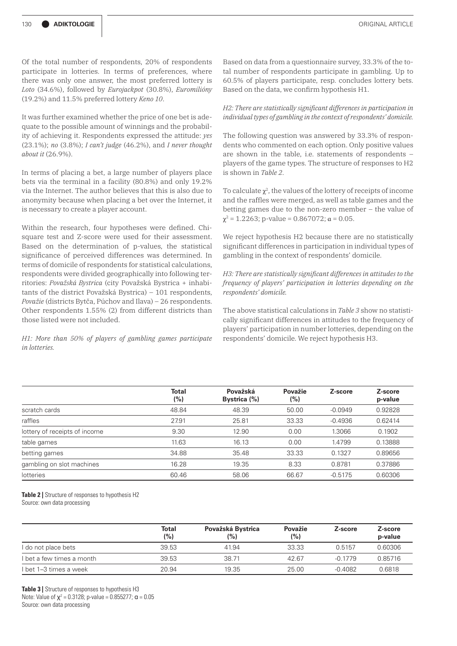Of the total number of respondents, 20% of respondents participate in lotteries. In terms of preferences, where there was only one answer, the most preferred lottery is *Loto* (34.6%), followed by *Eurojackpot* (30.8%), *Euromilióny* (19.2%) and 11.5% preferred lottery *Keno 10*.

It was further examined whether the price of one bet is adequate to the possible amount of winnings and the probability of achieving it. Respondents expressed the attitude: *yes* (23.1%); *no* (3.8%); *I can't judge* (46.2%), and *I never thought about it* (26.9%).

In terms of placing a bet, a large number of players place bets via the terminal in a facility (80.8%) and only 19.2% via the Internet. The author believes that this is also due to anonymity because when placing a bet over the Internet, it is necessary to create a player account.

Within the research, four hypotheses were defined. Chisquare test and Z-score were used for their assessment. Based on the determination of p-values, the statistical significance of perceived differences was determined. In terms of domicile of respondents for statistical calculations, respondents were divided geographically into following territories: *Považská Bystrica* (city Považská Bystrica + inhabitants of the district Považská Bystrica) – 101 respondents, *Považie* (districts Bytča, Púchov and Ilava) – 26 respondents. Other respondents 1.55% (2) from different districts than those listed were not included.

*H1: More than 50% of players of gambling games participate in lotteries.*

Based on data from a questionnaire survey, 33.3% of the total number of respondents participate in gambling. Up to 60.5% of players participate, resp. concludes lottery bets. Based on the data, we confirm hypothesis H1.

*H2: There are statistically significant differences in participation in individual types of gambling in the context of respondents' domicile.*

The following question was answered by 33.3% of respondents who commented on each option. Only positive values are shown in the table, i.e. statements of respondents – players of the game types. The structure of responses to H2 is shown in *Table 2*.

To calculate  $\chi^2$ , the values of the lottery of receipts of income and the raffles were merged, as well as table games and the betting games due to the non-zero member – the value of  $\chi^2$  = 1.2263; p-value = 0.867072;  $\alpha$  = 0.05.

We reject hypothesis H2 because there are no statistically significant differences in participation in individual types of gambling in the context of respondents' domicile.

*H3: There are statistically significant differences in attitudes to the frequency of players' participation in lotteries depending on the respondents' domicile.*

The above statistical calculations in *Table 3* show no statistically significant differences in attitudes to the frequency of players' participation in number lotteries, depending on the respondents' domicile. We reject hypothesis H3.

|                               | <b>Total</b><br>$(\%)$ | Považská<br>Bystrica (%) | Považie<br>(%) | Z-score   | Z-score<br>p-value |
|-------------------------------|------------------------|--------------------------|----------------|-----------|--------------------|
| scratch cards                 | 48.84                  | 48.39                    | 50.00          | $-0.0949$ | 0.92828            |
| raffles                       | 27.91                  | 25.81                    | 33.33          | $-0.4936$ | 0.62414            |
| lottery of receipts of income | 9.30                   | 12.90                    | 0.00           | 1.3066    | 0.1902             |
| table games                   | 11.63                  | 16.13                    | 0.00           | 1.4799    | 0.13888            |
| betting games                 | 34.88                  | 35.48                    | 33.33          | 0.1327    | 0.89656            |
| gambling on slot machines     | 16.28                  | 19.35                    | 8.33           | 0.8781    | 0.37886            |
| lotteries                     | 60.46                  | 58.06                    | 66.67          | $-0.5175$ | 0.60306            |

**Table 2 |** Structure of responses to hypothesis H2

Source: own data processing

|                           | <b>Total</b><br>(%) | Považská Bystrica<br>(%) | Považie<br>(%) | Z-score   | Z-score<br>p-value |
|---------------------------|---------------------|--------------------------|----------------|-----------|--------------------|
| I do not place bets       | 39.53               | 41.94                    | 33.33          | 0.5157    | 0.60306            |
| I bet a few times a month | 39.53               | 38.71                    | 42.67          | $-0.1779$ | 0.85716            |
| i bet 1–3 times a week    | 20.94               | 19.35                    | 25.00          | $-0.4082$ | 0.6818             |

**Table 3 |** Structure of responses to hypothesis H3 Note: Value of  $\chi^2 = 0.3128$ ; p-value = 0.855277;  $\alpha = 0.05$ Source: own data processing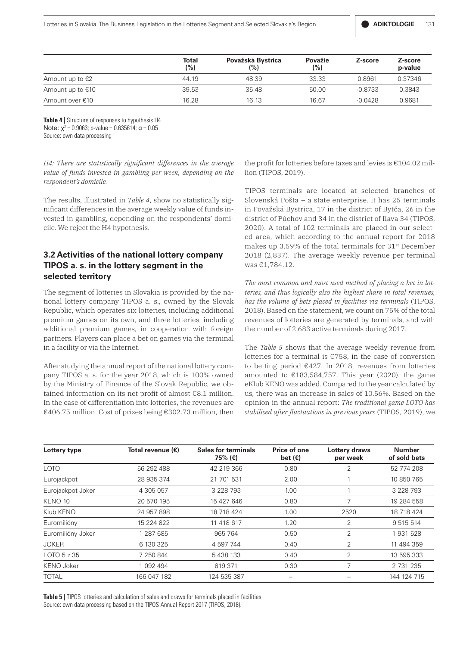|                           | <b>Total</b><br>(%) | Považská Bystrica<br>(%) | Považie<br>(%) | Z-score   | Z-score<br>p-value |
|---------------------------|---------------------|--------------------------|----------------|-----------|--------------------|
| Amount up to $\epsilon$ 2 | 44.19               | 48.39                    | 33.33          | 0.8961    | 0.37346            |
| Amount up to $€10$        | 39.53               | 35.48                    | 50.00          | $-0.8733$ | 0.3843             |
| Amount over €10           | 16.28               | 16.13                    | 16.67          | $-0.0428$ | 0.9681             |

**Table 4 |** Structure of responses to hypothesis H4 Note:  $\chi^2$  = 0.9063; p-value = 0.635614;  $\alpha$  = 0.05 Source: own data processing

*H4: There are statistically significant differences in the average value of funds invested in gambling per week, depending on the respondent's domicile.*

The results, illustrated in *Table 4*, show no statistically significant differences in the average weekly value of funds invested in gambling, depending on the respondents' domicile. We reject the H4 hypothesis.

### **3.2 Activities of the national lottery company TIPOS a. s. in the lottery segment in the selected territory**

The segment of lotteries in Slovakia is provided by the national lottery company TIPOS a. s., owned by the Slovak Republic, which operates six lotteries, including additional premium games on its own, and three lotteries, including additional premium games, in cooperation with foreign partners. Players can place a bet on games via the terminal in a facility or via the Internet.

After studying the annual report of the national lottery company TIPOS a. s. for the year 2018, which is 100% owned by the Ministry of Finance of the Slovak Republic, we obtained information on its net profit of almost €8.1 million. In the case of differentiation into lotteries, the revenues are €406.75 million. Cost of prizes being €302.73 million, then

the profit for lotteries before taxes and levies is €104.02 million (TIPOS, 2019).

TIPOS terminals are located at selected branches of Slovenská Pošta – a state enterprise. It has 25 terminals in Považská Bystrica, 17 in the district of Bytča, 26 in the district of Púchov and 34 in the district of Ilava 34 (TIPOS, 2020). A total of 102 terminals are placed in our selected area, which according to the annual report for 2018 makes up 3.59% of the total terminals for 31st December 2018 (2,837). The average weekly revenue per terminal was €1,784.12.

*The most common and most used method of placing a bet in lotteries, and thus logically also the highest share in total revenues, has the volume of bets placed in facilities via terminals* (TIPOS, 2018). Based on the statement, we count on 75% of the total revenues of lotteries are generated by terminals, and with the number of 2,683 active terminals during 2017.

The *Table 5* shows that the average weekly revenue from lotteries for a terminal is  $E758$ , in the case of conversion to betting period €427. In 2018, revenues from lotteries amounted to  $€183.584.757$ . This year (2020), the game eKlub KENO was added. Compared to the year calculated by us, there was an increase in sales of 10.56%. Based on the opinion in the annual report: *The traditional game LOTO has stabilised after fluctuations in previous years* (TIPOS, 2019), we

| Lottery type      | Total revenue (€) | <b>Sales for terminals</b><br>75% (€) | Price of one<br>bet $(\epsilon)$ | Lottery draws<br>per week | <b>Number</b><br>of sold bets |
|-------------------|-------------------|---------------------------------------|----------------------------------|---------------------------|-------------------------------|
| <b>LOTO</b>       | 56 292 488        | 42 219 366                            | 0.80                             | 2                         | 52 774 208                    |
| Eurojackpot       | 28 935 374        | 21 701 531                            | 2.00                             |                           | 10 850 765                    |
| Eurojackpot Joker | 4 305 057         | 3 228 793                             | 1.00                             |                           | 3 228 793                     |
| KENO 10           | 20 570 195        | 15 427 646                            | 0.80                             | $\overline{7}$            | 19 284 558                    |
| Klub KENO         | 24 957 898        | 18 718 424                            | 1.00                             | 2520                      | 18 718 424                    |
| Euromilióny       | 15 224 822        | 11 418 617                            | 1.20                             | 2                         | 9 5 1 5 5 1 4                 |
| Euromilióny Joker | 287 685           | 965 764                               | 0.50                             | 2                         | 1931528                       |
| <b>JOKER</b>      | 6 130 325         | 4 597 744                             | 0.40                             | 2                         | 11 494 359                    |
| LOTO $5z35$       | 7 250 844         | 5438133                               | 0.40                             | 2                         | 13 595 333                    |
| <b>KENO Joker</b> | 1 092 494         | 819 371                               | 0.30                             | 7                         | 2 731 235                     |
| <b>TOTAL</b>      | 166 047 182       | 124 535 387                           |                                  |                           | 144 124 715                   |

**Table 5 |** TIPOS lotteries and calculation of sales and draws for terminals placed in facilities Source: own data processing based on the TIPOS Annual Report 2017 (TIPOS, 2018).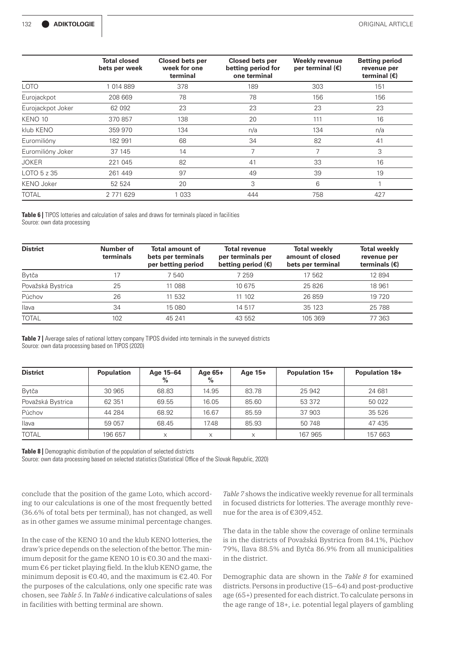|                   | <b>Total closed</b><br>bets per week | <b>Closed bets per</b><br>week for one<br>terminal | <b>Closed bets per</b><br>betting period for<br>one terminal | <b>Weekly revenue</b><br>per terminal $(\epsilon)$ | <b>Betting period</b><br>revenue per<br>terminal $(\epsilon)$ |
|-------------------|--------------------------------------|----------------------------------------------------|--------------------------------------------------------------|----------------------------------------------------|---------------------------------------------------------------|
| <b>LOTO</b>       | 014 889                              | 378                                                | 189                                                          | 303                                                | 151                                                           |
| Eurojackpot       | 208 669                              | 78                                                 | 78                                                           | 156                                                | 156                                                           |
| Eurojackpot Joker | 62 092                               | 23                                                 | 23                                                           | 23                                                 | 23                                                            |
| KENO 10           | 370 857                              | 138                                                | 20                                                           | 111                                                | 16                                                            |
| klub KENO         | 359 970                              | 134                                                | n/a                                                          | 134                                                | n/a                                                           |
| Euromilióny       | 182 991                              | 68                                                 | 34                                                           | 82                                                 | 41                                                            |
| Euromilióny Joker | 37 145                               | 14                                                 | 7                                                            |                                                    | 3                                                             |
| <b>JOKER</b>      | 221 045                              | 82                                                 | 41                                                           | 33                                                 | 16                                                            |
| LOTO 5 z 35       | 261 449                              | 97                                                 | 49                                                           | 39                                                 | 19                                                            |
| <b>KENO Joker</b> | 52 524                               | 20                                                 | 3                                                            | 6                                                  |                                                               |
| <b>TOTAL</b>      | 2 771 629                            | 1 0 3 3                                            | 444                                                          | 758                                                | 427                                                           |

**Table 6** | TIPOS lotteries and calculation of sales and draws for terminals placed in facilities Source: own data processing

| <b>District</b>   | Number of<br>terminals | <b>Total amount of</b><br>bets per terminals<br>per betting period | <b>Total revenue</b><br>per terminals per<br>betting period $(\epsilon)$ | <b>Total weekly</b><br>amount of closed<br>bets per terminal | <b>Total weekly</b><br>revenue per<br>terminals $(E)$ |
|-------------------|------------------------|--------------------------------------------------------------------|--------------------------------------------------------------------------|--------------------------------------------------------------|-------------------------------------------------------|
| Bytča             | 17                     | 7 540                                                              | 7 259                                                                    | 17 562                                                       | 12 894                                                |
| Považská Bystrica | 25                     | 11 088                                                             | 10 675                                                                   | 25 8 26                                                      | 18 961                                                |
| Púchov            | 26                     | 11 532                                                             | 11 102                                                                   | 26 859                                                       | 19 7 20                                               |
| Ilava             | 34                     | 15 080                                                             | 14 517                                                                   | 35 123                                                       | 25 7 88                                               |
| <b>TOTAL</b>      | 102                    | 45 241                                                             | 43 552                                                                   | 105 369                                                      | 77 363                                                |

**Table 7** | Average sales of national lottery company TIPOS divided into terminals in the surveyed districts Source: own data processing based on TIPOS (2020)

| <b>District</b>   | <b>Population</b> | Age 15-64<br>$\%$ | Age $65+$<br>$\%$ | Age 15+  | <b>Population 15+</b> | <b>Population 18+</b> |
|-------------------|-------------------|-------------------|-------------------|----------|-----------------------|-----------------------|
| Bytča             | 30 965            | 68.83             | 14.95             | 83.78    | 25 942                | 24 681                |
| Považská Bystrica | 62 351            | 69.55             | 16.05             | 85.60    | 53 372                | 50 022                |
| Púchov            | 44 284            | 68.92             | 16.67             | 85.59    | 37 903                | 35 526                |
| llava             | 59 057            | 68.45             | 17.48             | 85.93    | 50 748                | 47 435                |
| <b>TOTAL</b>      | 196 657           | X                 | X                 | $\times$ | 167 965               | 157 663               |

**Table 8 |** Demographic distribution of the population of selected districts

Source: own data processing based on selected statistics (Statistical Office of the Slovak Republic, 2020)

conclude that the position of the game Loto, which according to our calculations is one of the most frequently betted (36.6% of total bets per terminal), has not changed, as well as in other games we assume minimal percentage changes.

In the case of the KENO 10 and the klub KENO lotteries, the draw's price depends on the selection of the bettor. The minimum deposit for the game KENO 10 is €0.30 and the maximum €6 per ticket playing field. In the klub KENO game, the minimum deposit is  $\epsilon$ 0.40, and the maximum is  $\epsilon$ 2.40. For the purposes of the calculations, only one specific rate was chosen, see *Table 5*. In *Table 6* indicative calculations of sales in facilities with betting terminal are shown.

*Table 7* shows the indicative weekly revenue for all terminals in focused districts for lotteries. The average monthly revenue for the area is of €309,452.

The data in the table show the coverage of online terminals is in the districts of Považská Bystrica from 84.1%, Púchov 79%, Ilava 88.5% and Bytča 86.9% from all municipalities in the district.

Demographic data are shown in the *Table 8* for examined districts. Persons in productive (15–64) and post-productive age (65+) presented for each district. To calculate persons in the age range of 18+, i.e. potential legal players of gambling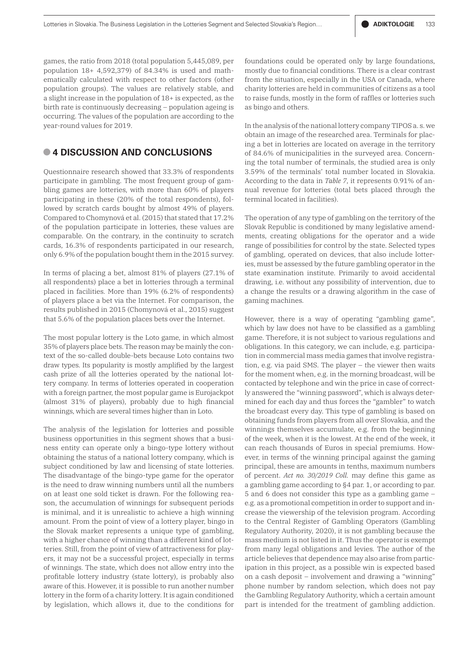games, the ratio from 2018 (total population 5,445,089, per population 18+ 4,592,379) of 84.34% is used and mathematically calculated with respect to other factors (other population groups). The values are relatively stable, and a slight increase in the population of 18+ is expected, as the birth rate is continuously decreasing – population ageing is occurring. The values of the population are according to the year-round values for 2019.

#### **• 4 DISCUSSION AND CONCLUSIONS**

Questionnaire research showed that 33.3% of respondents participate in gambling. The most frequent group of gambling games are lotteries, with more than 60% of players participating in these (20% of the total respondents), followed by scratch cards bought by almost 49% of players. Compared to Chomynová et al. (2015) that stated that 17.2% of the population participate in lotteries, these values are comparable. On the contrary, in the continuity to scratch cards, 16.3% of respondents participated in our research, only 6.9% of the population bought them in the 2015 survey.

In terms of placing a bet, almost 81% of players (27.1% of all respondents) place a bet in lotteries through a terminal placed in facilities. More than 19% (6.2% of respondents) of players place a bet via the Internet. For comparison, the results published in 2015 (Chomynová et al., 2015) suggest that 5.6% of the population places bets over the Internet.

The most popular lottery is the Loto game, in which almost 35% of players place bets. The reason may be mainly the context of the so-called double-bets because Loto contains two draw types. Its popularity is mostly amplified by the largest cash prize of all the lotteries operated by the national lottery company. In terms of lotteries operated in cooperation with a foreign partner, the most popular game is Eurojackpot (almost 31% of players), probably due to high financial winnings, which are several times higher than in Loto.

The analysis of the legislation for lotteries and possible business opportunities in this segment shows that a business entity can operate only a bingo-type lottery without obtaining the status of a national lottery company, which is subject conditioned by law and licensing of state lotteries. The disadvantage of the bingo-type game for the operator is the need to draw winning numbers until all the numbers on at least one sold ticket is drawn. For the following reason, the accumulation of winnings for subsequent periods is minimal, and it is unrealistic to achieve a high winning amount. From the point of view of a lottery player, bingo in the Slovak market represents a unique type of gambling, with a higher chance of winning than a different kind of lotteries. Still, from the point of view of attractiveness for players, it may not be a successful project, especially in terms of winnings. The state, which does not allow entry into the profitable lottery industry (state lottery), is probably also aware of this. However, it is possible to run another number lottery in the form of a charity lottery. It is again conditioned by legislation, which allows it, due to the conditions for foundations could be operated only by large foundations, mostly due to financial conditions. There is a clear contrast from the situation, especially in the USA or Canada, where charity lotteries are held in communities of citizens as a tool to raise funds, mostly in the form of raffles or lotteries such as bingo and others.

In the analysis of the national lottery company TIPOS a. s. we obtain an image of the researched area. Terminals for placing a bet in lotteries are located on average in the territory of 84.6% of municipalities in the surveyed area. Concerning the total number of terminals, the studied area is only 3.59% of the terminals' total number located in Slovakia. According to the data in *Table 7*, it represents 0.91% of annual revenue for lotteries (total bets placed through the terminal located in facilities).

The operation of any type of gambling on the territory of the Slovak Republic is conditioned by many legislative amendments, creating obligations for the operator and a wide range of possibilities for control by the state. Selected types of gambling, operated on devices, that also include lotteries, must be assessed by the future gambling operator in the state examination institute. Primarily to avoid accidental drawing, i.e. without any possibility of intervention, due to a change the results or a drawing algorithm in the case of gaming machines.

However, there is a way of operating "gambling game", which by law does not have to be classified as a gambling game. Therefore, it is not subject to various regulations and obligations. In this category, we can include, e.g. participation in commercial mass media games that involve registration, e.g. via paid SMS. The player – the viewer then waits for the moment when, e.g. in the morning broadcast, will be contacted by telephone and win the price in case of correctly answered the "winning password", which is always determined for each day and thus forces the "gambler" to watch the broadcast every day. This type of gambling is based on obtaining funds from players from all over Slovakia, and the winnings themselves accumulate, e.g. from the beginning of the week, when it is the lowest. At the end of the week, it can reach thousands of Euros in special premiums. However, in terms of the winning principal against the gaming principal, these are amounts in tenths, maximum numbers of percent. *Act no. 30/2019 Coll.* may define this game as a gambling game according to §4 par. 1, or according to par. 5 and 6 does not consider this type as a gambling game – e.g. as a promotional competition in order to support and increase the viewership of the television program. According to the Central Register of Gambling Operators (Gambling Regulatory Authority, 2020), it is not gambling because the mass medium is not listed in it. Thus the operator is exempt from many legal obligations and levies. The author of the article believes that dependence may also arise from participation in this project, as a possible win is expected based on a cash deposit – involvement and drawing a "winning" phone number by random selection, which does not pay the Gambling Regulatory Authority, which a certain amount part is intended for the treatment of gambling addiction.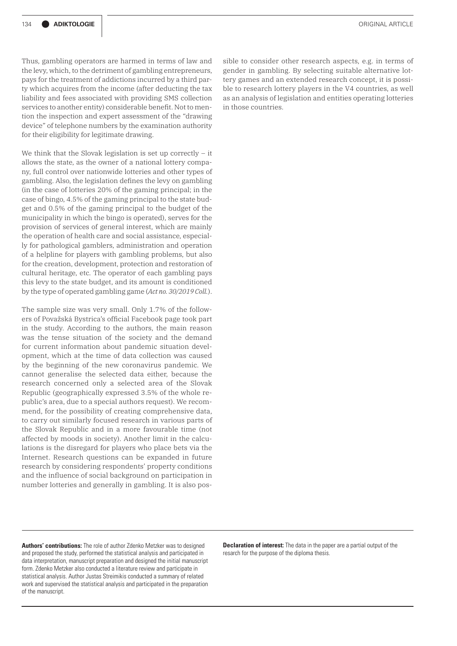Thus, gambling operators are harmed in terms of law and the levy, which, to the detriment of gambling entrepreneurs, pays for the treatment of addictions incurred by a third party which acquires from the income (after deducting the tax liability and fees associated with providing SMS collection services to another entity) considerable benefit. Not to mention the inspection and expert assessment of the "drawing device" of telephone numbers by the examination authority for their eligibility for legitimate drawing.

We think that the Slovak legislation is set up correctly  $\hbox{--}$  it allows the state, as the owner of a national lottery company, full control over nationwide lotteries and other types of gambling. Also, the legislation defines the levy on gambling (in the case of lotteries 20% of the gaming principal; in the case of bingo, 4.5% of the gaming principal to the state budget and 0.5% of the gaming principal to the budget of the municipality in which the bingo is operated), serves for the provision of services of general interest, which are mainly the operation of health care and social assistance, especially for pathological gamblers, administration and operation of a helpline for players with gambling problems, but also for the creation, development, protection and restoration of cultural heritage, etc. The operator of each gambling pays this levy to the state budget, and its amount is conditioned by the type of operated gambling game (*Act no. 30/2019 Coll.*).

The sample size was very small. Only 1.7% of the followers of Považská Bystrica's official Facebook page took part in the study. According to the authors, the main reason was the tense situation of the society and the demand for current information about pandemic situation development, which at the time of data collection was caused by the beginning of the new coronavirus pandemic. We cannot generalise the selected data either, because the research concerned only a selected area of the Slovak Republic (geographically expressed 3.5% of the whole republic's area, due to a special authors request). We recommend, for the possibility of creating comprehensive data, to carry out similarly focused research in various parts of the Slovak Republic and in a more favourable time (not affected by moods in society). Another limit in the calculations is the disregard for players who place bets via the Internet. Research questions can be expanded in future research by considering respondents' property conditions and the influence of social background on participation in number lotteries and generally in gambling. It is also possible to consider other research aspects, e.g. in terms of gender in gambling. By selecting suitable alternative lottery games and an extended research concept, it is possible to research lottery players in the V4 countries, as well as an analysis of legislation and entities operating lotteries in those countries.

**Authors' contributions:** The role of author Zdenko Metzker was to designed and proposed the study, performed the statistical analysis and participated in data interpretation, manuscript preparation and designed the initial manuscript form. Zdenko Metzker also conducted a literature review and participate in statistical analysis. Author Justas Streimikis conducted a summary of related work and supervised the statistical analysis and participated in the preparation of the manuscript.

**Declaration of interest:** The data in the paper are a partial output of the resarch for the purpose of the diploma thesis.